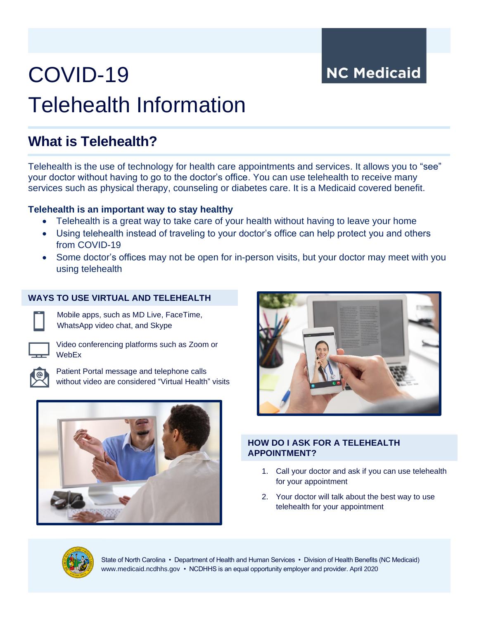**NC Medicaid** 

# COVID-19 Telehealth Information

# **What is Telehealth?**

Telehealth is the use of technology for health care appointments and services. It allows you to "see" your doctor without having to go to the doctor's office. You can use telehealth to receive many services such as physical therapy, counseling or diabetes care. It is a Medicaid covered benefit.

# **Telehealth is an important way to stay healthy**

- Telehealth is a great way to take care of your health without having to leave your home
- Using telehealth instead of traveling to your doctor's office can help protect you and others from COVID-19
- Some doctor's offices may not be open for in-person visits, but your doctor may meet with you using telehealth

# **WAYS TO USE VIRTUAL AND TELEHEALTH**



Mobile apps, such as MD Live, FaceTime, WhatsApp video chat, and Skype



Video conferencing platforms such as Zoom or **WebEx** 



Patient Portal message and telephone calls without video are considered "Virtual Health" visits





### **HOW DO I ASK FOR A TELEHEALTH APPOINTMENT?**

- 1. Call your doctor and ask if you can use telehealth for your appointment
- 2. Your doctor will talk about the best way to use telehealth for your appointment



State of North Carolina • Department of Health and Human Services • Division of Health Benefits (NC Medicaid) www.medicaid.ncdhhs.gov • NCDHHS is an equal opportunity employer and provider. April 2020